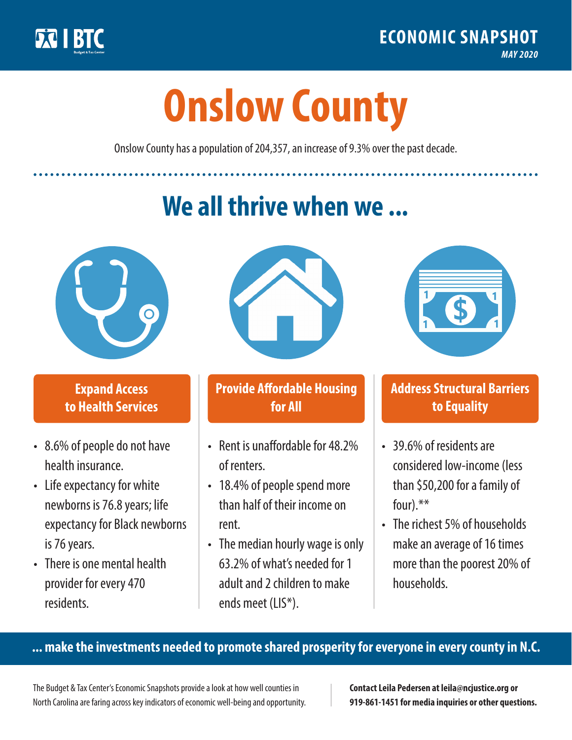

**1**

# **Onslow County**

Onslow County has a population of 204,357, an increase of 9.3% over the past decade.

# **We all thrive when we ...**



**\$ <sup>1</sup>**

**\$ <sup>1</sup>**

## **Expand Access to Health Services**

- 8.6% of people do not have health insurance.
- Life expectancy for white newborns is 76.8years; life expectancy for Black newborns is 76 years.
- There is one mental health provider for every 470 residents.



## **Provide Affordable Housing for All**

- Rent is unaffordable for 48 2% of renters.
- 18.4% of people spend more than half of their income on rent.
- The median hourly wage is only 63.2% of what's needed for 1 adult and 2 children to make ends meet (LIS\*).



## **Address Structural Barriers to Equality**

- 39.6% of residents are considered low-income (less than \$50,200 for a family of four).\*\*
- The richest 5% of households make an average of 16 times more than the poorest 20% of households.

#### **... make the investments needed to promote shared prosperity for everyone in every county in N.C.**

The Budget & Tax Center's Economic Snapshots provide a look at how well counties in North Carolina are faring across key indicators of economic well-being and opportunity.